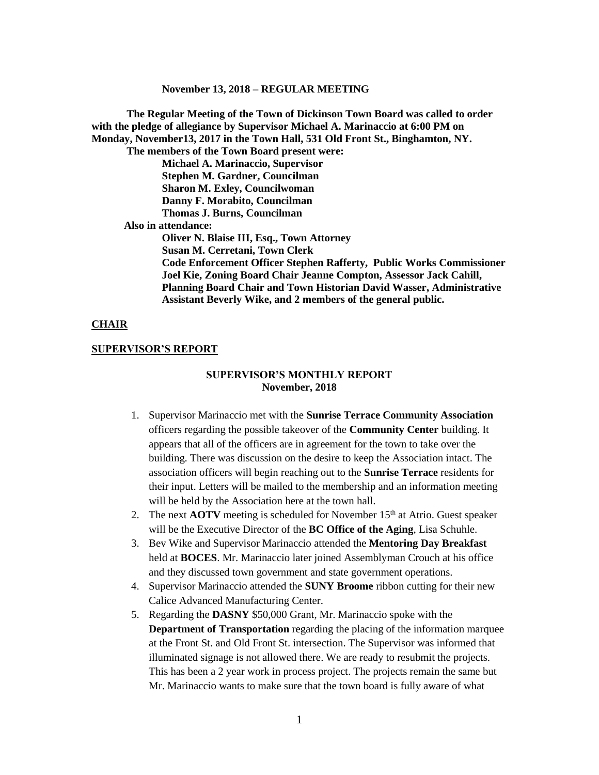**The Regular Meeting of the Town of Dickinson Town Board was called to order with the pledge of allegiance by Supervisor Michael A. Marinaccio at 6:00 PM on Monday, November13, 2017 in the Town Hall, 531 Old Front St., Binghamton, NY. The members of the Town Board present were: Michael A. Marinaccio, Supervisor Stephen M. Gardner, Councilman Sharon M. Exley, Councilwoman Danny F. Morabito, Councilman Thomas J. Burns, Councilman Also in attendance: Oliver N. Blaise III, Esq., Town Attorney Susan M. Cerretani, Town Clerk Code Enforcement Officer Stephen Rafferty, Public Works Commissioner Joel Kie, Zoning Board Chair Jeanne Compton, Assessor Jack Cahill, Planning Board Chair and Town Historian David Wasser, Administrative Assistant Beverly Wike, and 2 members of the general public.**

#### **CHAIR**

#### **SUPERVISOR'S REPORT**

#### **SUPERVISOR'S MONTHLY REPORT November, 2018**

- 1. Supervisor Marinaccio met with the **Sunrise Terrace Community Association** officers regarding the possible takeover of the **Community Center** building. It appears that all of the officers are in agreement for the town to take over the building. There was discussion on the desire to keep the Association intact. The association officers will begin reaching out to the **Sunrise Terrace** residents for their input. Letters will be mailed to the membership and an information meeting will be held by the Association here at the town hall.
- 2. The next  $\angle AOTV$  meeting is scheduled for November  $15<sup>th</sup>$  at Atrio. Guest speaker will be the Executive Director of the **BC Office of the Aging**, Lisa Schuhle.
- 3. Bev Wike and Supervisor Marinaccio attended the **Mentoring Day Breakfast** held at **BOCES**. Mr. Marinaccio later joined Assemblyman Crouch at his office and they discussed town government and state government operations.
- 4. Supervisor Marinaccio attended the **SUNY Broome** ribbon cutting for their new Calice Advanced Manufacturing Center.
- 5. Regarding the **DASNY** \$50,000 Grant, Mr. Marinaccio spoke with the **Department of Transportation** regarding the placing of the information marquee at the Front St. and Old Front St. intersection. The Supervisor was informed that illuminated signage is not allowed there. We are ready to resubmit the projects. This has been a 2 year work in process project. The projects remain the same but Mr. Marinaccio wants to make sure that the town board is fully aware of what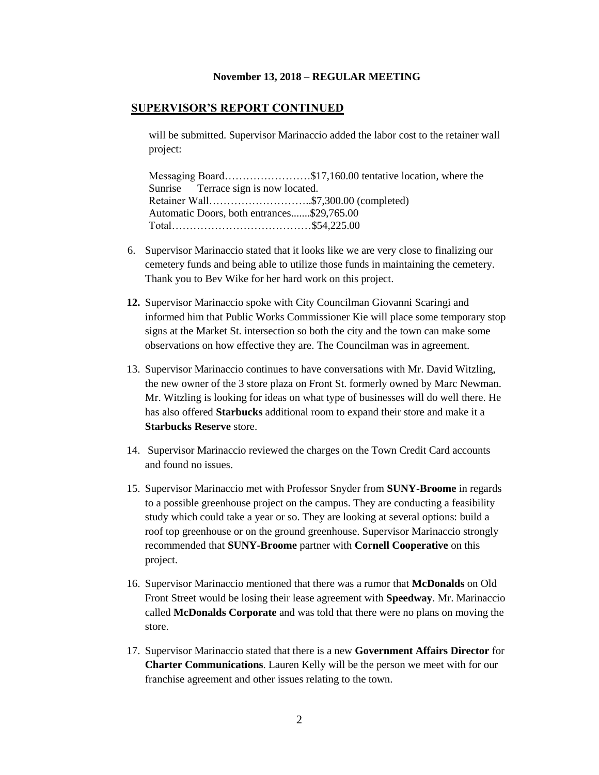#### **SUPERVISOR'S REPORT CONTINUED**

will be submitted. Supervisor Marinaccio added the labor cost to the retainer wall project:

Messaging Board……………………\$17,160.00 tentative location, where the Sunrise Terrace sign is now located. Retainer Wall………………………..\$7,300.00 (completed) Automatic Doors, both entrances.......\$29,765.00 Total…………………………………\$54,225.00

- 6. Supervisor Marinaccio stated that it looks like we are very close to finalizing our cemetery funds and being able to utilize those funds in maintaining the cemetery. Thank you to Bev Wike for her hard work on this project.
- **12.** Supervisor Marinaccio spoke with City Councilman Giovanni Scaringi and informed him that Public Works Commissioner Kie will place some temporary stop signs at the Market St. intersection so both the city and the town can make some observations on how effective they are. The Councilman was in agreement.
- 13. Supervisor Marinaccio continues to have conversations with Mr. David Witzling, the new owner of the 3 store plaza on Front St. formerly owned by Marc Newman. Mr. Witzling is looking for ideas on what type of businesses will do well there. He has also offered **Starbucks** additional room to expand their store and make it a **Starbucks Reserve** store.
- 14. Supervisor Marinaccio reviewed the charges on the Town Credit Card accounts and found no issues.
- 15. Supervisor Marinaccio met with Professor Snyder from **SUNY-Broome** in regards to a possible greenhouse project on the campus. They are conducting a feasibility study which could take a year or so. They are looking at several options: build a roof top greenhouse or on the ground greenhouse. Supervisor Marinaccio strongly recommended that **SUNY-Broome** partner with **Cornell Cooperative** on this project.
- 16. Supervisor Marinaccio mentioned that there was a rumor that **McDonalds** on Old Front Street would be losing their lease agreement with **Speedway**. Mr. Marinaccio called **McDonalds Corporate** and was told that there were no plans on moving the store.
- 17. Supervisor Marinaccio stated that there is a new **Government Affairs Director** for **Charter Communications**. Lauren Kelly will be the person we meet with for our franchise agreement and other issues relating to the town.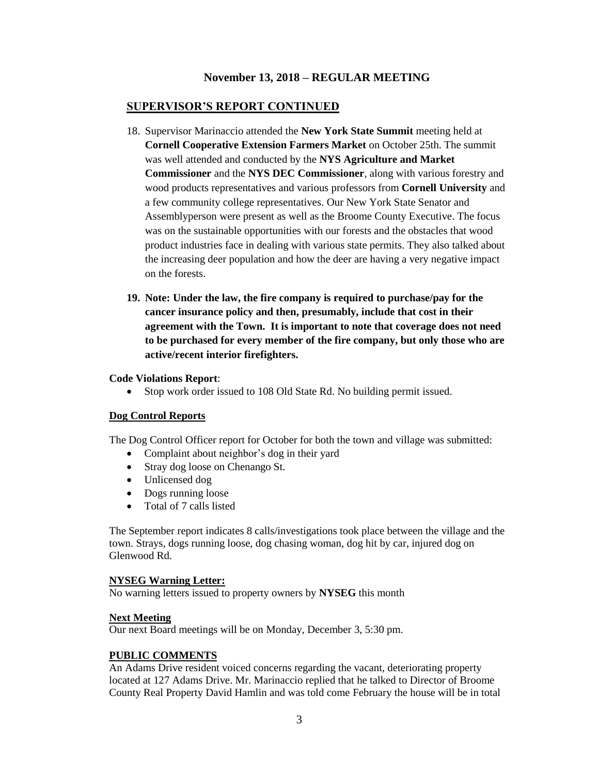### **SUPERVISOR'S REPORT CONTINUED**

- 18. Supervisor Marinaccio attended the **New York State Summit** meeting held at **Cornell Cooperative Extension Farmers Market** on October 25th. The summit was well attended and conducted by the **NYS Agriculture and Market Commissioner** and the **NYS DEC Commissioner**, along with various forestry and wood products representatives and various professors from **Cornell University** and a few community college representatives. Our New York State Senator and Assemblyperson were present as well as the Broome County Executive. The focus was on the sustainable opportunities with our forests and the obstacles that wood product industries face in dealing with various state permits. They also talked about the increasing deer population and how the deer are having a very negative impact on the forests.
- **19. Note: Under the law, the fire company is required to purchase/pay for the cancer insurance policy and then, presumably, include that cost in their agreement with the Town. It is important to note that coverage does not need to be purchased for every member of the fire company, but only those who are active/recent interior firefighters.**

#### **Code Violations Report**:

Stop work order issued to 108 Old State Rd. No building permit issued.

### **Dog Control Reports**

The Dog Control Officer report for October for both the town and village was submitted:

- Complaint about neighbor's dog in their yard
- Stray dog loose on Chenango St.
- Unlicensed dog
- Dogs running loose
- Total of 7 calls listed

The September report indicates 8 calls/investigations took place between the village and the town. Strays, dogs running loose, dog chasing woman, dog hit by car, injured dog on Glenwood Rd.

#### **NYSEG Warning Letter:**

No warning letters issued to property owners by **NYSEG** this month

#### **Next Meeting**

Our next Board meetings will be on Monday, December 3, 5:30 pm.

### **PUBLIC COMMENTS**

An Adams Drive resident voiced concerns regarding the vacant, deteriorating property located at 127 Adams Drive. Mr. Marinaccio replied that he talked to Director of Broome County Real Property David Hamlin and was told come February the house will be in total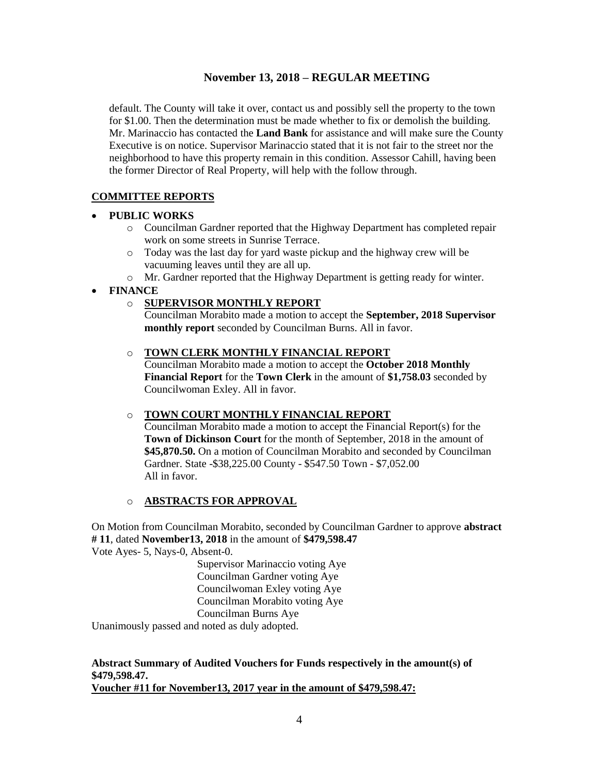default. The County will take it over, contact us and possibly sell the property to the town for \$1.00. Then the determination must be made whether to fix or demolish the building. Mr. Marinaccio has contacted the **Land Bank** for assistance and will make sure the County Executive is on notice. Supervisor Marinaccio stated that it is not fair to the street nor the neighborhood to have this property remain in this condition. Assessor Cahill, having been the former Director of Real Property, will help with the follow through.

# **COMMITTEE REPORTS**

### **PUBLIC WORKS**

- o Councilman Gardner reported that the Highway Department has completed repair work on some streets in Sunrise Terrace.
- o Today was the last day for yard waste pickup and the highway crew will be vacuuming leaves until they are all up.
- o Mr. Gardner reported that the Highway Department is getting ready for winter.
- **FINANCE**

### o **SUPERVISOR MONTHLY REPORT**

Councilman Morabito made a motion to accept the **September, 2018 Supervisor monthly report** seconded by Councilman Burns. All in favor.

### o **TOWN CLERK MONTHLY FINANCIAL REPORT**

Councilman Morabito made a motion to accept the **October 2018 Monthly Financial Report** for the **Town Clerk** in the amount of **\$1,758.03** seconded by Councilwoman Exley. All in favor.

### o **TOWN COURT MONTHLY FINANCIAL REPORT**

Councilman Morabito made a motion to accept the Financial Report(s) for the **Town of Dickinson Court** for the month of September, 2018 in the amount of **\$45,870.50.** On a motion of Councilman Morabito and seconded by Councilman Gardner. State -\$38,225.00 County - \$547.50 Town - \$7,052.00 All in favor.

### o **ABSTRACTS FOR APPROVAL**

On Motion from Councilman Morabito, seconded by Councilman Gardner to approve **abstract # 11**, dated **November13, 2018** in the amount of **\$479,598.47** Vote Ayes- 5, Nays-0, Absent-0.

> Supervisor Marinaccio voting Aye Councilman Gardner voting Aye Councilwoman Exley voting Aye Councilman Morabito voting Aye Councilman Burns Aye

Unanimously passed and noted as duly adopted.

# **Abstract Summary of Audited Vouchers for Funds respectively in the amount(s) of \$479,598.47.**

**Voucher #11 for November13, 2017 year in the amount of \$479,598.47:**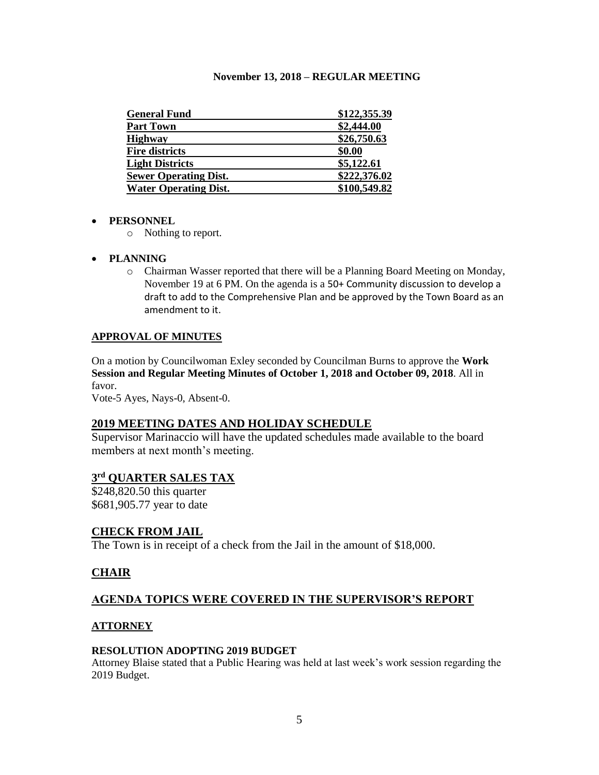| <b>General Fund</b>          | \$122,355.39 |
|------------------------------|--------------|
| <b>Part Town</b>             | \$2,444.00   |
| <b>Highway</b>               | \$26,750.63  |
| <b>Fire districts</b>        | \$0.00       |
| <b>Light Districts</b>       | \$5,122.61   |
| <b>Sewer Operating Dist.</b> | \$222,376.02 |
| <b>Water Operating Dist.</b> | \$100,549.82 |

### **PERSONNEL**

- o Nothing to report.
- **PLANNING**
	- o Chairman Wasser reported that there will be a Planning Board Meeting on Monday, November 19 at 6 PM. On the agenda is a 50+ Community discussion to develop a draft to add to the Comprehensive Plan and be approved by the Town Board as an amendment to it.

### **APPROVAL OF MINUTES**

On a motion by Councilwoman Exley seconded by Councilman Burns to approve the **Work Session and Regular Meeting Minutes of October 1, 2018 and October 09, 2018**. All in favor.

Vote-5 Ayes, Nays-0, Absent-0.

### **2019 MEETING DATES AND HOLIDAY SCHEDULE**

Supervisor Marinaccio will have the updated schedules made available to the board members at next month's meeting.

### **3 rd QUARTER SALES TAX**

\$248,820.50 this quarter \$681,905.77 year to date

### **CHECK FROM JAIL**

The Town is in receipt of a check from the Jail in the amount of \$18,000.

# **CHAIR**

### **AGENDA TOPICS WERE COVERED IN THE SUPERVISOR'S REPORT**

### **ATTORNEY**

#### **RESOLUTION ADOPTING 2019 BUDGET**

Attorney Blaise stated that a Public Hearing was held at last week's work session regarding the 2019 Budget.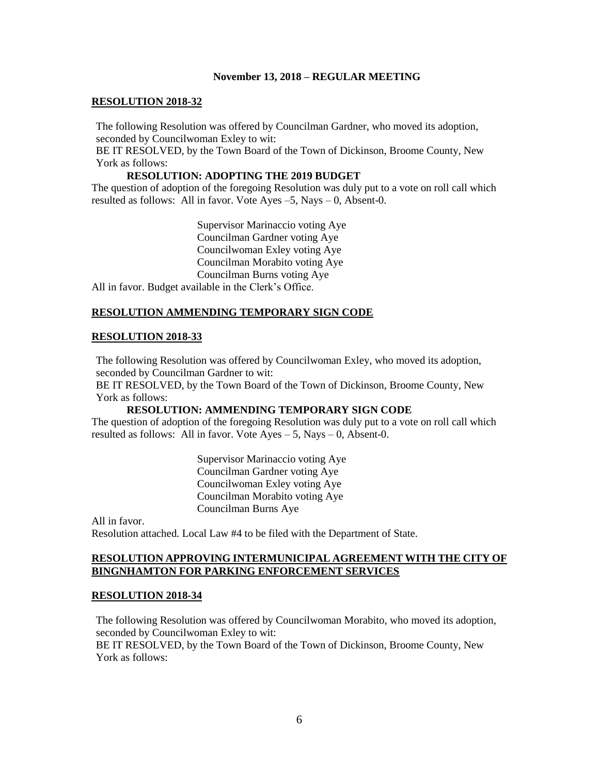#### **RESOLUTION 2018-32**

The following Resolution was offered by Councilman Gardner, who moved its adoption, seconded by Councilwoman Exley to wit:

BE IT RESOLVED, by the Town Board of the Town of Dickinson, Broome County, New York as follows:

#### **RESOLUTION: ADOPTING THE 2019 BUDGET**

The question of adoption of the foregoing Resolution was duly put to a vote on roll call which resulted as follows: All in favor. Vote Ayes –5, Nays – 0, Absent-0.

Supervisor Marinaccio voting Aye Councilman Gardner voting Aye Councilwoman Exley voting Aye Councilman Morabito voting Aye Councilman Burns voting Aye All in favor. Budget available in the Clerk's Office.

### **RESOLUTION AMMENDING TEMPORARY SIGN CODE**

#### **RESOLUTION 2018-33**

The following Resolution was offered by Councilwoman Exley, who moved its adoption, seconded by Councilman Gardner to wit:

BE IT RESOLVED, by the Town Board of the Town of Dickinson, Broome County, New York as follows:

#### **RESOLUTION: AMMENDING TEMPORARY SIGN CODE**

The question of adoption of the foregoing Resolution was duly put to a vote on roll call which resulted as follows: All in favor. Vote  $Ayes - 5$ , Nays  $- 0$ , Absent-0.

> Supervisor Marinaccio voting Aye Councilman Gardner voting Aye Councilwoman Exley voting Aye Councilman Morabito voting Aye Councilman Burns Aye

All in favor. Resolution attached. Local Law #4 to be filed with the Department of State.

### **RESOLUTION APPROVING INTERMUNICIPAL AGREEMENT WITH THE CITY OF BINGNHAMTON FOR PARKING ENFORCEMENT SERVICES**

#### **RESOLUTION 2018-34**

The following Resolution was offered by Councilwoman Morabito, who moved its adoption, seconded by Councilwoman Exley to wit:

BE IT RESOLVED, by the Town Board of the Town of Dickinson, Broome County, New York as follows: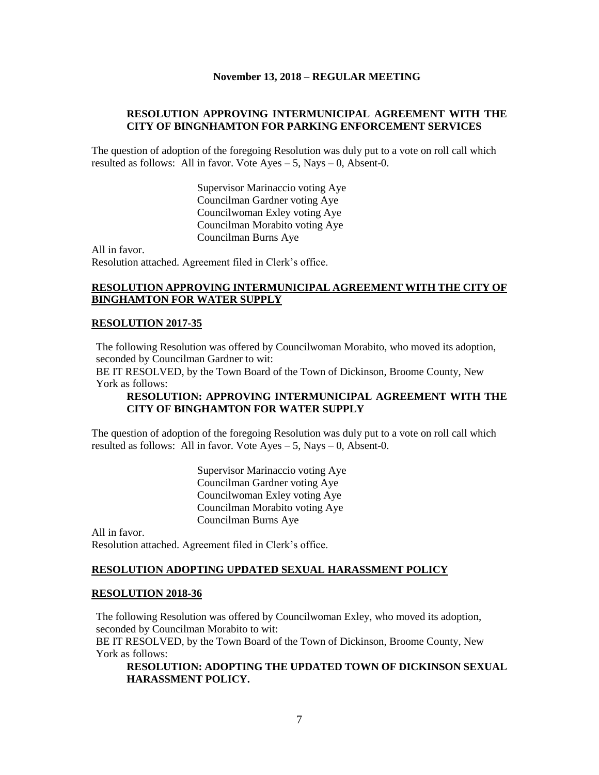### **RESOLUTION APPROVING INTERMUNICIPAL AGREEMENT WITH THE CITY OF BINGNHAMTON FOR PARKING ENFORCEMENT SERVICES**

The question of adoption of the foregoing Resolution was duly put to a vote on roll call which resulted as follows: All in favor. Vote  $Aves - 5$ , Nays – 0, Absent-0.

> Supervisor Marinaccio voting Aye Councilman Gardner voting Aye Councilwoman Exley voting Aye Councilman Morabito voting Aye Councilman Burns Aye

All in favor. Resolution attached. Agreement filed in Clerk's office.

### **RESOLUTION APPROVING INTERMUNICIPAL AGREEMENT WITH THE CITY OF BINGHAMTON FOR WATER SUPPLY**

#### **RESOLUTION 2017-35**

The following Resolution was offered by Councilwoman Morabito, who moved its adoption, seconded by Councilman Gardner to wit:

BE IT RESOLVED, by the Town Board of the Town of Dickinson, Broome County, New York as follows:

### **RESOLUTION: APPROVING INTERMUNICIPAL AGREEMENT WITH THE CITY OF BINGHAMTON FOR WATER SUPPLY**

The question of adoption of the foregoing Resolution was duly put to a vote on roll call which resulted as follows: All in favor. Vote  $Ayes - 5$ , Nays  $- 0$ , Absent-0.

> Supervisor Marinaccio voting Aye Councilman Gardner voting Aye Councilwoman Exley voting Aye Councilman Morabito voting Aye Councilman Burns Aye

All in favor. Resolution attached. Agreement filed in Clerk's office.

#### **RESOLUTION ADOPTING UPDATED SEXUAL HARASSMENT POLICY**

#### **RESOLUTION 2018-36**

The following Resolution was offered by Councilwoman Exley, who moved its adoption, seconded by Councilman Morabito to wit:

BE IT RESOLVED, by the Town Board of the Town of Dickinson, Broome County, New York as follows:

### **RESOLUTION: ADOPTING THE UPDATED TOWN OF DICKINSON SEXUAL HARASSMENT POLICY.**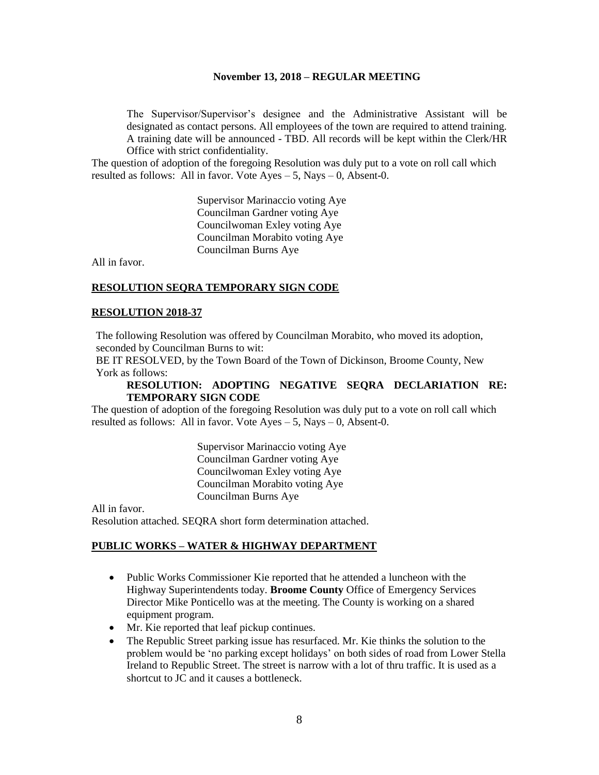The Supervisor/Supervisor's designee and the Administrative Assistant will be designated as contact persons. All employees of the town are required to attend training. A training date will be announced - TBD. All records will be kept within the Clerk/HR Office with strict confidentiality.

The question of adoption of the foregoing Resolution was duly put to a vote on roll call which resulted as follows: All in favor. Vote  $Ayes - 5$ , Nays  $- 0$ , Absent-0.

> Supervisor Marinaccio voting Aye Councilman Gardner voting Aye Councilwoman Exley voting Aye Councilman Morabito voting Aye Councilman Burns Aye

All in favor.

#### **RESOLUTION SEQRA TEMPORARY SIGN CODE**

#### **RESOLUTION 2018-37**

The following Resolution was offered by Councilman Morabito, who moved its adoption, seconded by Councilman Burns to wit:

BE IT RESOLVED, by the Town Board of the Town of Dickinson, Broome County, New York as follows:

#### **RESOLUTION: ADOPTING NEGATIVE SEQRA DECLARIATION RE: TEMPORARY SIGN CODE**

The question of adoption of the foregoing Resolution was duly put to a vote on roll call which resulted as follows: All in favor. Vote  $Ayes - 5$ , Nays  $-0$ , Absent-0.

> Supervisor Marinaccio voting Aye Councilman Gardner voting Aye Councilwoman Exley voting Aye Councilman Morabito voting Aye Councilman Burns Aye

All in favor. Resolution attached. SEQRA short form determination attached.

#### **PUBLIC WORKS – WATER & HIGHWAY DEPARTMENT**

- Public Works Commissioner Kie reported that he attended a luncheon with the Highway Superintendents today. **Broome County** Office of Emergency Services Director Mike Ponticello was at the meeting. The County is working on a shared equipment program.
- Mr. Kie reported that leaf pickup continues.
- The Republic Street parking issue has resurfaced. Mr. Kie thinks the solution to the problem would be 'no parking except holidays' on both sides of road from Lower Stella Ireland to Republic Street. The street is narrow with a lot of thru traffic. It is used as a shortcut to JC and it causes a bottleneck.